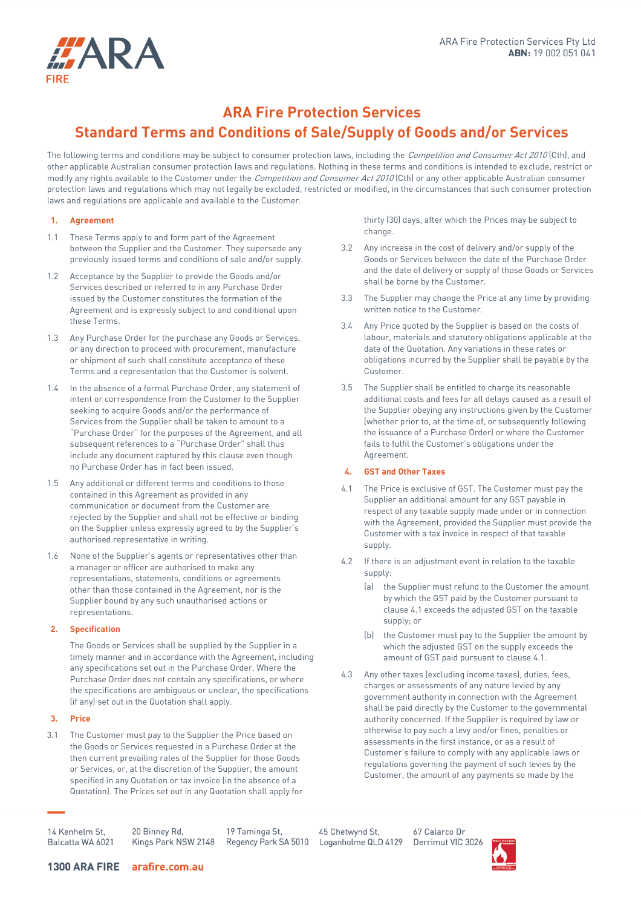

# **ARA Fire Protection Services Standard Terms and Conditions of Sale/Supply of Goods and/or Services**

The following terms and conditions may be subject to consumer protection laws, including the Competition and Consumer Act 2010 (Cth), and other applicable Australian consumer protection laws and regulations. Nothing in these terms and conditions is intended to exclude, restrict or modify any rights available to the Customer under the Competition and Consumer Act 2010 (Cth) or any other applicable Australian consumer protection laws and regulations which may not legally be excluded, restricted or modified, in the circumstances that such consumer protection laws and regulations are applicable and available to the Customer.

## **1. Agreement**

- 1.1 These Terms apply to and form part of the Agreement between the Supplier and the Customer. They supersede any previously issued terms and conditions of sale and/or supply.
- 1.2 Acceptance by the Supplier to provide the Goods and/or Services described or referred to in any Purchase Order issued by the Customer constitutes the formation of the Agreement and is expressly subject to and conditional upon these Terms.
- 1.3 Any Purchase Order for the purchase any Goods or Services, or any direction to proceed with procurement, manufacture or shipment of such shall constitute acceptance of these Terms and a representation that the Customer is solvent.
- <span id="page-0-0"></span>1.4 In the absence of a formal Purchase Order, any statement of intent or correspondence from the Customer to the Supplier seeking to acquire Goods and/or the performance of Services from the Supplier shall be taken to amount to a "Purchase Order" for the purposes of the Agreement, and all subsequent references to a "Purchase Order" shall thus include any document captured by this clause even though no Purchase Order has in fact been issued.
- 1.5 Any additional or different terms and conditions to those contained in this Agreement as provided in any communication or document from the Customer are rejected by the Supplier and shall not be effective or binding on the Supplier unless expressly agreed to by the Supplier's authorised representative in writing.
- 1.6 None of the Supplier's agents or representatives other than a manager or officer are authorised to make any representations, statements, conditions or agreements other than those contained in the Agreement, nor is the Supplier bound by any such unauthorised actions or representations.

# **2. Specification**

The Goods or Services shall be supplied by the Supplier in a timely manner and in accordance with the Agreement, including any specifications set out in the Purchase Order. Where the Purchase Order does not contain any specifications, or where the specifications are ambiguous or unclear, the specifications (if any) set out in the Quotation shall apply.

## **3. Price**

3.1 The Customer must pay to the Supplier the Price based on the Goods or Services requested in a Purchase Order at the then current prevailing rates of the Supplier for those Goods or Services, or, at the discretion of the Supplier, the amount specified in any Quotation or tax invoice (in the absence of a Quotation). The Prices set out in any Quotation shall apply for thirty (30) days, after which the Prices may be subject to change.

- 3.2 Any increase in the cost of delivery and/or supply of the Goods or Services between the date of the Purchase Order and the date of delivery or supply of those Goods or Services shall be borne by the Customer.
- 3.3 The Supplier may change the Price at any time by providing written notice to the Customer.
- 3.4 Any Price quoted by the Supplier is based on the costs of labour, materials and statutory obligations applicable at the date of the Quotation. Any variations in these rates or obligations incurred by the Supplier shall be payable by the Customer.
- 3.5 The Supplier shall be entitled to charge its reasonable additional costs and fees for all delays caused as a result of the Supplier obeying any instructions given by the Customer (whether prior to, at the time of, or subsequently following the issuance of a Purchase Order) or where the Customer fails to fulfil the Customer's obligations under the Agreement.

## **4. GST and Other Taxes**

- 4.1 The Price is exclusive of GST. The Customer must pay the Supplier an additional amount for any GST payable in respect of any taxable supply made under or in connection with the Agreement, provided the Supplier must provide the Customer with a tax invoice in respect of that taxable supply.
- 4.2 If there is an adjustment event in relation to the taxable supply:
	- (a) the Supplier must refund to the Customer the amount by which the GST paid by the Customer pursuant to clause 4.1 exceeds the adjusted GST on the taxable supply; or
	- (b) the Customer must pay to the Supplier the amount by which the adjusted GST on the supply exceeds the amount of GST paid pursuant to clause 4.1.
- 4.3 Any other taxes (excluding income taxes), duties, fees, charges or assessments of any nature levied by any government authority in connection with the Agreement shall be paid directly by the Customer to the governmental authority concerned. If the Supplier is required by law or otherwise to pay such a levy and/or fines, penalties or assessments in the first instance, or as a result of Customer's failure to comply with any applicable laws or regulations governing the payment of such levies by the Customer, the amount of any payments so made by the

14 Kenhelm St Balcatta WA 6021

20 Binney Rd, Kings Park NSW 2148

19 Taminga St, Regency Park SA 5010

45 Chetwynd St, Loganholme QLD 4129

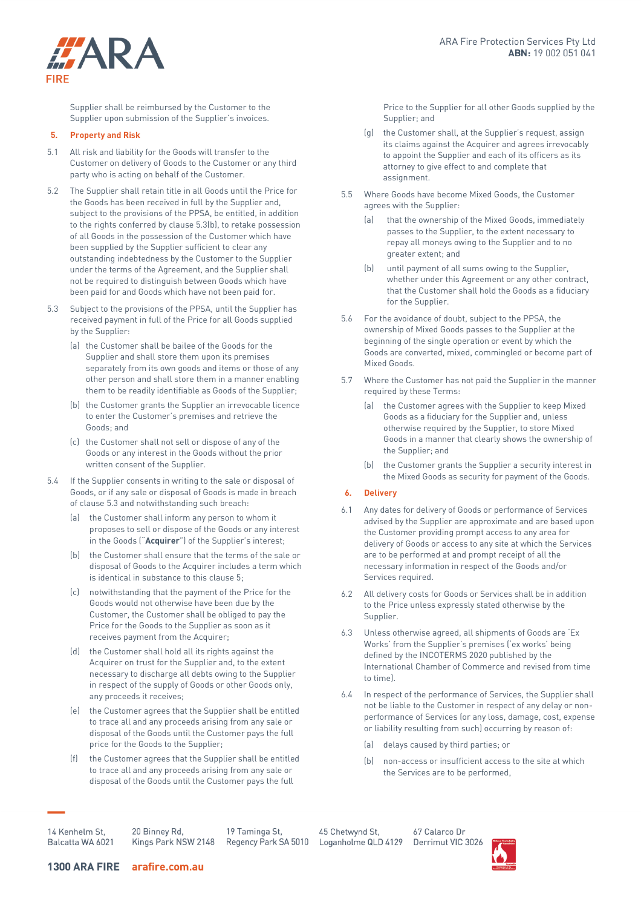

Supplier shall be reimbursed by the Customer to the Supplier upon submission of the Supplier's invoices.

#### **5. Property and Risk**

- 5.1 All risk and liability for the Goods will transfer to the Customer on delivery of Goods to the Customer or any third party who is acting on behalf of the Customer.
- 5.2 The Supplier shall retain title in all Goods until the Price for the Goods has been received in full by the Supplier and, subject to the provisions of the PPSA, be entitled, in addition to the rights conferred by clause 5.3(b), to retake possession of all Goods in the possession of the Customer which have been supplied by the Supplier sufficient to clear any outstanding indebtedness by the Customer to the Supplier under the terms of the Agreement, and the Supplier shall not be required to distinguish between Goods which have been paid for and Goods which have not been paid for.
- 5.3 Subject to the provisions of the PPSA, until the Supplier has received payment in full of the Price for all Goods supplied by the Supplier:
	- (a) the Customer shall be bailee of the Goods for the Supplier and shall store them upon its premises separately from its own goods and items or those of any other person and shall store them in a manner enabling them to be readily identifiable as Goods of the Supplier;
	- (b) the Customer grants the Supplier an irrevocable licence to enter the Customer's premises and retrieve the Goods; and
	- (c) the Customer shall not sell or dispose of any of the Goods or any interest in the Goods without the prior written consent of the Supplier.
- 5.4 If the Supplier consents in writing to the sale or disposal of Goods, or if any sale or disposal of Goods is made in breach of clause 5.3 and notwithstanding such breach:
	- (a) the Customer shall inform any person to whom it proposes to sell or dispose of the Goods or any interest in the Goods ("**Acquirer**") of the Supplier's interest;
	- (b) the Customer shall ensure that the terms of the sale or disposal of Goods to the Acquirer includes a term which is identical in substance to this clause 5;
	- (c) notwithstanding that the payment of the Price for the Goods would not otherwise have been due by the Customer, the Customer shall be obliged to pay the Price for the Goods to the Supplier as soon as it receives payment from the Acquirer;
	- (d) the Customer shall hold all its rights against the Acquirer on trust for the Supplier and, to the extent necessary to discharge all debts owing to the Supplier in respect of the supply of Goods or other Goods only, any proceeds it receives;
	- (e) the Customer agrees that the Supplier shall be entitled to trace all and any proceeds arising from any sale or disposal of the Goods until the Customer pays the full price for the Goods to the Supplier;
	- (f) the Customer agrees that the Supplier shall be entitled to trace all and any proceeds arising from any sale or disposal of the Goods until the Customer pays the full

Price to the Supplier for all other Goods supplied by the Supplier; and

- (g) the Customer shall, at the Supplier's request, assign its claims against the Acquirer and agrees irrevocably to appoint the Supplier and each of its officers as its attorney to give effect to and complete that assignment.
- 5.5 Where Goods have become Mixed Goods, the Customer agrees with the Supplier:
	- (a) that the ownership of the Mixed Goods, immediately passes to the Supplier, to the extent necessary to repay all moneys owing to the Supplier and to no greater extent; and
	- (b) until payment of all sums owing to the Supplier, whether under this Agreement or any other contract, that the Customer shall hold the Goods as a fiduciary for the Supplier.
- 5.6 For the avoidance of doubt, subject to the PPSA, the ownership of Mixed Goods passes to the Supplier at the beginning of the single operation or event by which the Goods are converted, mixed, commingled or become part of Mixed Goods.
- 5.7 Where the Customer has not paid the Supplier in the manner required by these Terms:
	- (a) the Customer agrees with the Supplier to keep Mixed Goods as a fiduciary for the Supplier and, unless otherwise required by the Supplier, to store Mixed Goods in a manner that clearly shows the ownership of the Supplier; and
	- (b) the Customer grants the Supplier a security interest in the Mixed Goods as security for payment of the Goods.

## **6. Delivery**

- 6.1 Any dates for delivery of Goods or performance of Services advised by the Supplier are approximate and are based upon the Customer providing prompt access to any area for delivery of Goods or access to any site at which the Services are to be performed at and prompt receipt of all the necessary information in respect of the Goods and/or Services required.
- 6.2 All delivery costs for Goods or Services shall be in addition to the Price unless expressly stated otherwise by the Supplier.
- 6.3 Unless otherwise agreed, all shipments of Goods are 'Ex Works' from the Supplier's premises ('ex works' being defined by the INCOTERMS 2020 published by the International Chamber of Commerce and revised from time to time).
- 6.4 In respect of the performance of Services, the Supplier shall not be liable to the Customer in respect of any delay or nonperformance of Services (or any loss, damage, cost, expense or liability resulting from such) occurring by reason of:
	- (a) delays caused by third parties; or
	- (b) non-access or insufficient access to the site at which the Services are to be performed,

14 Kenhelm St, Balcatta WA 6021 20 Binney Rd, Kings Park NSW 2148

19 Taminga St,

45 Chetwynd St, Regency Park SA 5010 Loganholme QLD 4129

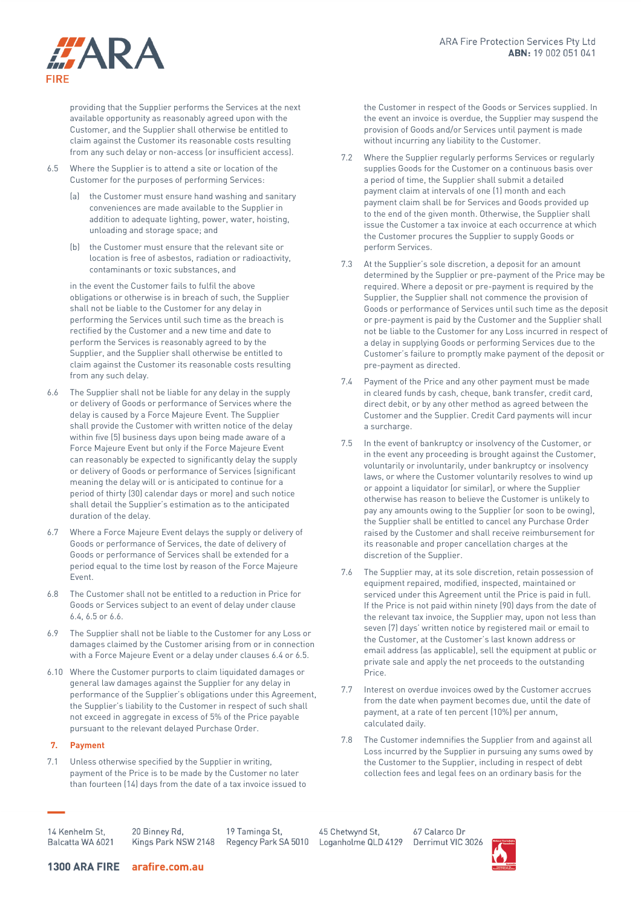

providing that the Supplier performs the Services at the next available opportunity as reasonably agreed upon with the Customer, and the Supplier shall otherwise be entitled to claim against the Customer its reasonable costs resulting from any such delay or non-access (or insufficient access).

- 6.5 Where the Supplier is to attend a site or location of the Customer for the purposes of performing Services:
	- (a) the Customer must ensure hand washing and sanitary conveniences are made available to the Supplier in addition to adequate lighting, power, water, hoisting, unloading and storage space; and
	- (b) the Customer must ensure that the relevant site or location is free of asbestos, radiation or radioactivity, contaminants or toxic substances, and

in the event the Customer fails to fulfil the above obligations or otherwise is in breach of such, the Supplier shall not be liable to the Customer for any delay in performing the Services until such time as the breach is rectified by the Customer and a new time and date to perform the Services is reasonably agreed to by the Supplier, and the Supplier shall otherwise be entitled to claim against the Customer its reasonable costs resulting from any such delay.

- 6.6 The Supplier shall not be liable for any delay in the supply or delivery of Goods or performance of Services where the delay is caused by a Force Majeure Event. The Supplier shall provide the Customer with written notice of the delay within five (5) business days upon being made aware of a Force Majeure Event but only if the Force Majeure Event can reasonably be expected to significantly delay the supply or delivery of Goods or performance of Services (significant meaning the delay will or is anticipated to continue for a period of thirty (30) calendar days or more) and such notice shall detail the Supplier's estimation as to the anticipated duration of the delay.
- 6.7 Where a Force Majeure Event delays the supply or delivery of Goods or performance of Services, the date of delivery of Goods or performance of Services shall be extended for a period equal to the time lost by reason of the Force Majeure Event.
- 6.8 The Customer shall not be entitled to a reduction in Price for Goods or Services subject to an event of delay under clause 6.4, 6.5 or 6.6.
- 6.9 The Supplier shall not be liable to the Customer for any Loss or damages claimed by the Customer arising from or in connection with a Force Majeure Event or a delay under clauses 6.4 or 6.5.
- 6.10 Where the Customer purports to claim liquidated damages or general law damages against the Supplier for any delay in performance of the Supplier's obligations under this Agreement, the Supplier's liability to the Customer in respect of such shall not exceed in aggregate in excess of 5% of the Price payable pursuant to the relevant delayed Purchase Order.

## **7. Payment**

7.1 Unless otherwise specified by the Supplier in writing, payment of the Price is to be made by the Customer no later than fourteen (14) days from the date of a tax invoice issued to the Customer in respect of the Goods or Services supplied. In the event an invoice is overdue, the Supplier may suspend the provision of Goods and/or Services until payment is made without incurring any liability to the Customer.

- 7.2 Where the Supplier regularly performs Services or regularly supplies Goods for the Customer on a continuous basis over a period of time, the Supplier shall submit a detailed payment claim at intervals of one (1) month and each payment claim shall be for Services and Goods provided up to the end of the given month. Otherwise, the Supplier shall issue the Customer a tax invoice at each occurrence at which the Customer procures the Supplier to supply Goods or perform Services.
- 7.3 At the Supplier's sole discretion, a deposit for an amount determined by the Supplier or pre-payment of the Price may be required. Where a deposit or pre-payment is required by the Supplier, the Supplier shall not commence the provision of Goods or performance of Services until such time as the deposit or pre-payment is paid by the Customer and the Supplier shall not be liable to the Customer for any Loss incurred in respect of a delay in supplying Goods or performing Services due to the Customer's failure to promptly make payment of the deposit or pre-payment as directed.
- 7.4 Payment of the Price and any other payment must be made in cleared funds by cash, cheque, bank transfer, credit card, direct debit, or by any other method as agreed between the Customer and the Supplier. Credit Card payments will incur a surcharge.
- 7.5 In the event of bankruptcy or insolvency of the Customer, or in the event any proceeding is brought against the Customer, voluntarily or involuntarily, under bankruptcy or insolvency laws, or where the Customer voluntarily resolves to wind up or appoint a liquidator (or similar), or where the Supplier otherwise has reason to believe the Customer is unlikely to pay any amounts owing to the Supplier (or soon to be owing), the Supplier shall be entitled to cancel any Purchase Order raised by the Customer and shall receive reimbursement for its reasonable and proper cancellation charges at the discretion of the Supplier.
- 7.6 The Supplier may, at its sole discretion, retain possession of equipment repaired, modified, inspected, maintained or serviced under this Agreement until the Price is paid in full. If the Price is not paid within ninety (90) days from the date of the relevant tax invoice, the Supplier may, upon not less than seven (7) days' written notice by registered mail or email to the Customer, at the Customer's last known address or email address (as applicable), sell the equipment at public or private sale and apply the net proceeds to the outstanding Price.
- 7.7 Interest on overdue invoices owed by the Customer accrues from the date when payment becomes due, until the date of payment, at a rate of ten percent (10%) per annum, calculated daily.
- 7.8 The Customer indemnifies the Supplier from and against all Loss incurred by the Supplier in pursuing any sums owed by the Customer to the Supplier, including in respect of debt collection fees and legal fees on an ordinary basis for the

14 Kenhelm St. Balcatta WA 6021 20 Binney Rd, 19 Taminga St, Kings Park NSW 2148 Regency Park SA 5010

45 Chetwynd St, Loganholme QLD 4129

67 Calarco Dr Derrimut VIC 3026

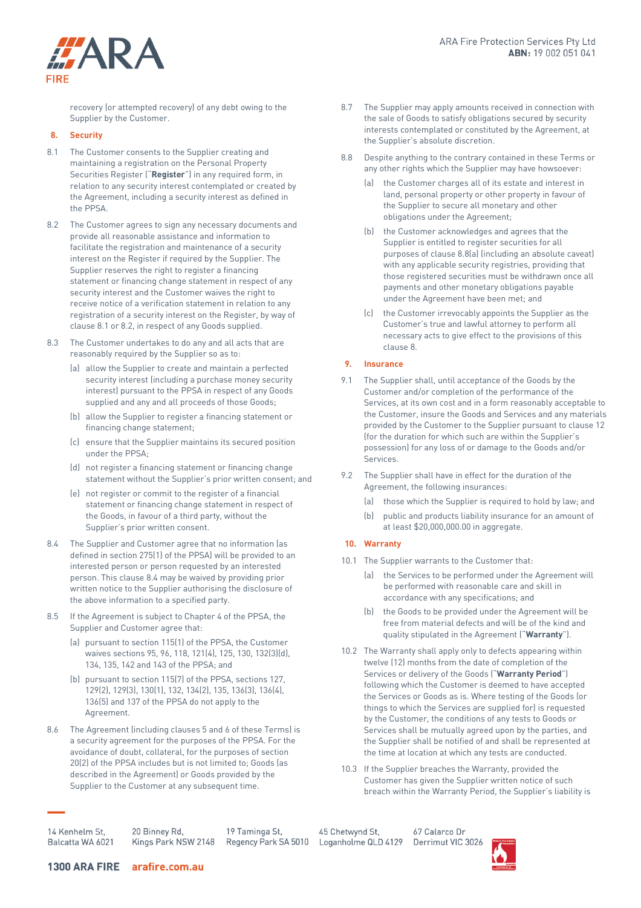

recovery (or attempted recovery) of any debt owing to the Supplier by the Customer.

## **8. Security**

- 8.1 The Customer consents to the Supplier creating and maintaining a registration on the Personal Property Securities Register ("**Register**") in any required form, in relation to any security interest contemplated or created by the Agreement, including a security interest as defined in the PPSA.
- 8.2 The Customer agrees to sign any necessary documents and provide all reasonable assistance and information to facilitate the registration and maintenance of a security interest on the Register if required by the Supplier. The Supplier reserves the right to register a financing statement or financing change statement in respect of any security interest and the Customer waives the right to receive notice of a verification statement in relation to any registration of a security interest on the Register, by way of clause 8.1 or 8.2, in respect of any Goods supplied.
- 8.3 The Customer undertakes to do any and all acts that are reasonably required by the Supplier so as to:
	- (a) allow the Supplier to create and maintain a perfected security interest (including a purchase money security interest) pursuant to the PPSA in respect of any Goods supplied and any and all proceeds of those Goods;
	- (b) allow the Supplier to register a financing statement or financing change statement;
	- (c) ensure that the Supplier maintains its secured position under the PPSA;
	- (d) not register a financing statement or financing change statement without the Supplier's prior written consent; and
	- (e) not register or commit to the register of a financial statement or financing change statement in respect of the Goods, in favour of a third party, without the Supplier's prior written consent.
- 8.4 The Supplier and Customer agree that no information (as defined in section 275(1) of the PPSA) will be provided to an interested person or person requested by an interested person. This clause 8.4 may be waived by providing prior written notice to the Supplier authorising the disclosure of the above information to a specified party.
- 8.5 If the Agreement is subject to Chapter 4 of the PPSA, the Supplier and Customer agree that:
	- (a) pursuant to section 115(1) of the PPSA, the Customer waives sections 95, 96, 118, 121(4), 125, 130, 132(3)(d), 134, 135, 142 and 143 of the PPSA; and
	- (b) pursuant to section 115(7) of the PPSA, sections 127, 129(2), 129(3), 130(1), 132, 134(2), 135, 136(3), 136(4), 136(5) and 137 of the PPSA do not apply to the Agreement.
- 8.6 The Agreement (including clauses 5 and 6 of these Terms) is a security agreement for the purposes of the PPSA. For the avoidance of doubt, collateral, for the purposes of section 20(2) of the PPSA includes but is not limited to; Goods (as described in the Agreement) or Goods provided by the Supplier to the Customer at any subsequent time.
- 8.7 The Supplier may apply amounts received in connection with the sale of Goods to satisfy obligations secured by security interests contemplated or constituted by the Agreement, at the Supplier's absolute discretion.
- 8.8 Despite anything to the contrary contained in these Terms or any other rights which the Supplier may have howsoever:
	- (a) the Customer charges all of its estate and interest in land, personal property or other property in favour of the Supplier to secure all monetary and other obligations under the Agreement;
	- (b) the Customer acknowledges and agrees that the Supplier is entitled to register securities for all purposes of clause 8.8(a) (including an absolute caveat) with any applicable security registries, providing that those registered securities must be withdrawn once all payments and other monetary obligations payable under the Agreement have been met; and
	- (c) the Customer irrevocably appoints the Supplier as the Customer's true and lawful attorney to perform all necessary acts to give effect to the provisions of this clause 8.

## **9. Insurance**

- 9.1 The Supplier shall, until acceptance of the Goods by the Customer and/or completion of the performance of the Services, at its own cost and in a form reasonably acceptable to the Customer, insure the Goods and Services and any materials provided by the Customer to the Supplier pursuant to clause 12 (for the duration for which such are within the Supplier's possession) for any loss of or damage to the Goods and/or Services.
- 9.2 The Supplier shall have in effect for the duration of the Agreement, the following insurances:
	- (a) those which the Supplier is required to hold by law; and
	- (b) public and products liability insurance for an amount of at least \$20,000,000.00 in aggregate.

## **10. Warranty**

- 10.1 The Supplier warrants to the Customer that:
	- (a) the Services to be performed under the Agreement will be performed with reasonable care and skill in accordance with any specifications; and
	- (b) the Goods to be provided under the Agreement will be free from material defects and will be of the kind and quality stipulated in the Agreement ("**Warranty**").
- 10.2 The Warranty shall apply only to defects appearing within twelve (12) months from the date of completion of the Services or delivery of the Goods ("**Warranty Period**") following which the Customer is deemed to have accepted the Services or Goods as is. Where testing of the Goods (or things to which the Services are supplied for) is requested by the Customer, the conditions of any tests to Goods or Services shall be mutually agreed upon by the parties, and the Supplier shall be notified of and shall be represented at the time at location at which any tests are conducted.
- 10.3 If the Supplier breaches the Warranty, provided the Customer has given the Supplier written notice of such breach within the Warranty Period, the Supplier's liability is

14 Kenhelm St Balcatta WA 6021

20 Binney Rd, Kings Park NSW 2148

19 Taminga St,

45 Chetwynd St, Regency Park SA 5010 Loganholme QLD 4129

67 Calarco Dr Derrimut VIC 3026

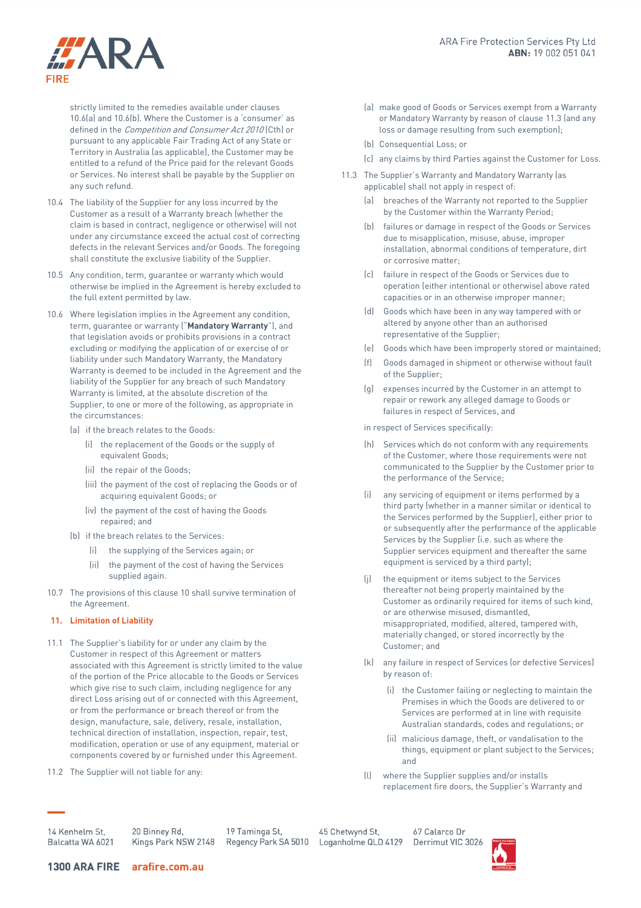

strictly limited to the remedies available under clauses 10.6(a) and 10.6(b). Where the Customer is a 'consumer' as defined in the Competition and Consumer Act 2010 (Cth) or pursuant to any applicable Fair Trading Act of any State or Territory in Australia (as applicable), the Customer may be entitled to a refund of the Price paid for the relevant Goods or Services. No interest shall be payable by the Supplier on any such refund.

- 10.4 The liability of the Supplier for any loss incurred by the Customer as a result of a Warranty breach (whether the claim is based in contract, negligence or otherwise) will not under any circumstance exceed the actual cost of correcting defects in the relevant Services and/or Goods. The foregoing shall constitute the exclusive liability of the Supplier.
- 10.5 Any condition, term, guarantee or warranty which would otherwise be implied in the Agreement is hereby excluded to the full extent permitted by law.
- 10.6 Where legislation implies in the Agreement any condition, term, guarantee or warranty ("**Mandatory Warranty**"), and that legislation avoids or prohibits provisions in a contract excluding or modifying the application of or exercise of or liability under such Mandatory Warranty, the Mandatory Warranty is deemed to be included in the Agreement and the liability of the Supplier for any breach of such Mandatory Warranty is limited, at the absolute discretion of the Supplier, to one or more of the following, as appropriate in the circumstances:
	- (a) if the breach relates to the Goods:
		- (i) the replacement of the Goods or the supply of equivalent Goods;
		- (ii) the repair of the Goods;
		- (iii) the payment of the cost of replacing the Goods or of acquiring equivalent Goods; or
		- (iv) the payment of the cost of having the Goods repaired; and
	- (b) if the breach relates to the Services:
		- (i) the supplying of the Services again; or
		- (ii) the payment of the cost of having the Services supplied again.
- 10.7 The provisions of this clause 10 shall survive termination of the Agreement.
- **11. Limitation of Liability**
- 11.1 The Supplier's liability for or under any claim by the Customer in respect of this Agreement or matters associated with this Agreement is strictly limited to the value of the portion of the Price allocable to the Goods or Services which give rise to such claim, including negligence for any direct Loss arising out of or connected with this Agreement, or from the performance or breach thereof or from the design, manufacture, sale, delivery, resale, installation, technical direction of installation, inspection, repair, test, modification, operation or use of any equipment, material or components covered by or furnished under this Agreement.
- 11.2 The Supplier will not liable for any:
- (a) make good of Goods or Services exempt from a Warranty or Mandatory Warranty by reason of claus[e 11.3](#page-4-0) (and any loss or damage resulting from such exemption);
- <span id="page-4-0"></span>(b) Consequential Loss; or
- (c) any claims by third Parties against the Customer for Loss.
- 11.3 The Supplier's Warranty and Mandatory Warranty (as applicable) shall not apply in respect of:
	- (a) breaches of the Warranty not reported to the Supplier by the Customer within the Warranty Period;
	- (b) failures or damage in respect of the Goods or Services due to misapplication, misuse, abuse, improper installation, abnormal conditions of temperature, dirt or corrosive matter;
	- (c) failure in respect of the Goods or Services due to operation (either intentional or otherwise) above rated capacities or in an otherwise improper manner;
	- (d) Goods which have been in any way tampered with or altered by anyone other than an authorised representative of the Supplier;
	- (e) Goods which have been improperly stored or maintained;
	- (f) Goods damaged in shipment or otherwise without fault of the Supplier;
	- (g) expenses incurred by the Customer in an attempt to repair or rework any alleged damage to Goods or failures in respect of Services, and

in respect of Services specifically:

- (h) Services which do not conform with any requirements of the Customer, where those requirements were not communicated to the Supplier by the Customer prior to the performance of the Service;
- (i) any servicing of equipment or items performed by a third party (whether in a manner similar or identical to the Services performed by the Supplier), either prior to or subsequently after the performance of the applicable Services by the Supplier (i.e. such as where the Supplier services equipment and thereafter the same equipment is serviced by a third party);
- (j) the equipment or items subject to the Services thereafter not being properly maintained by the Customer as ordinarily required for items of such kind, or are otherwise misused, dismantled, misappropriated, modified, altered, tampered with, materially changed, or stored incorrectly by the Customer; and
- (k) any failure in respect of Services (or defective Services) by reason of:
	- (i) the Customer failing or neglecting to maintain the Premises in which the Goods are delivered to or Services are performed at in line with requisite Australian standards, codes and regulations; or
	- (ii) malicious damage, theft, or vandalisation to the things, equipment or plant subject to the Services; and
- (l) where the Supplier supplies and/or installs replacement fire doors, the Supplier's Warranty and

14 Kenhelm St. Balcatta WA 6021 20 Binney Rd, Kings Park NSW 2148

19 Taminga St, Regency Park SA 5010

45 Chetwynd St, Loganholme QLD 4129

67 Calarco Dr Derrimut VIC 3026

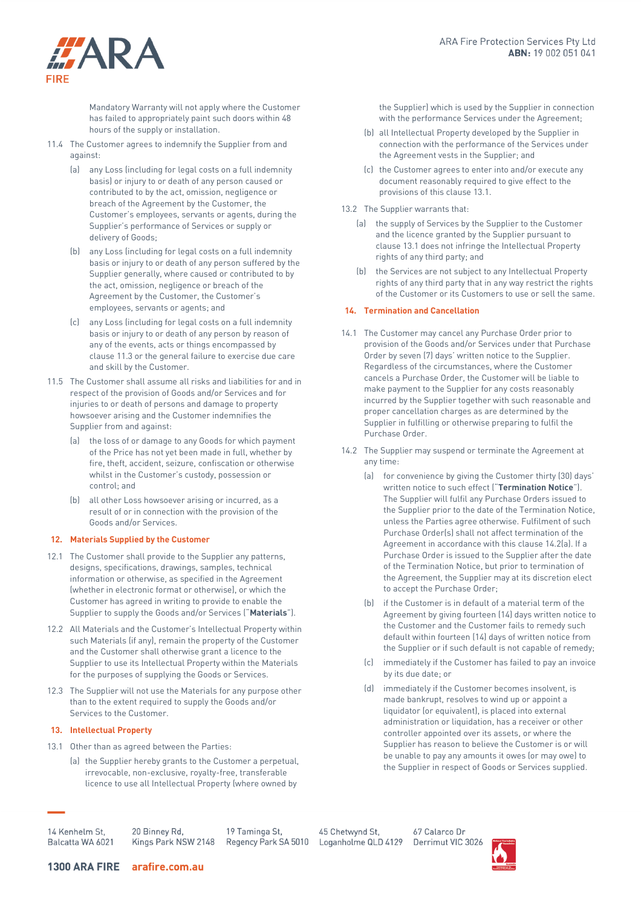

Mandatory Warranty will not apply where the Customer has failed to appropriately paint such doors within 48 hours of the supply or installation.

- 11.4 The Customer agrees to indemnify the Supplier from and against:
	- (a) any Loss (including for legal costs on a full indemnity basis) or injury to or death of any person caused or contributed to by the act, omission, negligence or breach of the Agreement by the Customer, the Customer's employees, servants or agents, during the Supplier's performance of Services or supply or delivery of Goods;
	- (b) any Loss (including for legal costs on a full indemnity basis or injury to or death of any person suffered by the Supplier generally, where caused or contributed to by the act, omission, negligence or breach of the Agreement by the Customer, the Customer's employees, servants or agents; and
	- (c) any Loss (including for legal costs on a full indemnity basis or injury to or death of any person by reason of any of the events, acts or things encompassed by claus[e 11.3](#page-4-0) or the general failure to exercise due care and skill by the Customer.
- 11.5 The Customer shall assume all risks and liabilities for and in respect of the provision of Goods and/or Services and for injuries to or death of persons and damage to property howsoever arising and the Customer indemnifies the Supplier from and against:
	- (a) the loss of or damage to any Goods for which payment of the Price has not yet been made in full, whether by fire, theft, accident, seizure, confiscation or otherwise whilst in the Customer's custody, possession or control; and
	- (b) all other Loss howsoever arising or incurred, as a result of or in connection with the provision of the Goods and/or Services.

## **12. Materials Supplied by the Customer**

- 12.1 The Customer shall provide to the Supplier any patterns, designs, specifications, drawings, samples, technical information or otherwise, as specified in the Agreement (whether in electronic format or otherwise), or which the Customer has agreed in writing to provide to enable the Supplier to supply the Goods and/or Services ("**Materials**").
- 12.2 All Materials and the Customer's Intellectual Property within such Materials (if any), remain the property of the Customer and the Customer shall otherwise grant a licence to the Supplier to use its Intellectual Property within the Materials for the purposes of supplying the Goods or Services.
- 12.3 The Supplier will not use the Materials for any purpose other than to the extent required to supply the Goods and/or Services to the Customer.

## **13. Intellectual Property**

- 13.1 Other than as agreed between the Parties:
	- (a) the Supplier hereby grants to the Customer a perpetual, irrevocable, non-exclusive, royalty-free, transferable licence to use all Intellectual Property (where owned by

the Supplier) which is used by the Supplier in connection with the performance Services under the Agreement;

- (b) all Intellectual Property developed by the Supplier in connection with the performance of the Services under the Agreement vests in the Supplier; and
- (c) the Customer agrees to enter into and/or execute any document reasonably required to give effect to the provisions of this clause 13.1.
- 13.2 The Supplier warrants that:
	- (a) the supply of Services by the Supplier to the Customer and the licence granted by the Supplier pursuant to clause 13.1 does not infringe the Intellectual Property rights of any third party; and
	- (b) the Services are not subject to any Intellectual Property rights of any third party that in any way restrict the rights of the Customer or its Customers to use or sell the same.

# **14. Termination and Cancellation**

- 14.1 The Customer may cancel any Purchase Order prior to provision of the Goods and/or Services under that Purchase Order by seven (7) days' written notice to the Supplier. Regardless of the circumstances, where the Customer cancels a Purchase Order, the Customer will be liable to make payment to the Supplier for any costs reasonably incurred by the Supplier together with such reasonable and proper cancellation charges as are determined by the Supplier in fulfilling or otherwise preparing to fulfil the Purchase Order.
- 14.2 The Supplier may suspend or terminate the Agreement at any time:
	- (a) for convenience by giving the Customer thirty (30) days' written notice to such effect ("**Termination Notice**"). The Supplier will fulfil any Purchase Orders issued to the Supplier prior to the date of the Termination Notice, unless the Parties agree otherwise. Fulfilment of such Purchase Order(s) shall not affect termination of the Agreement in accordance with this clause 14.2(a). If a Purchase Order is issued to the Supplier after the date of the Termination Notice, but prior to termination of the Agreement, the Supplier may at its discretion elect to accept the Purchase Order;
	- (b) if the Customer is in default of a material term of the Agreement by giving fourteen (14) days written notice to the Customer and the Customer fails to remedy such default within fourteen (14) days of written notice from the Supplier or if such default is not capable of remedy;
	- (c) immediately if the Customer has failed to pay an invoice by its due date; or
	- (d) immediately if the Customer becomes insolvent, is made bankrupt, resolves to wind up or appoint a liquidator (or equivalent), is placed into external administration or liquidation, has a receiver or other controller appointed over its assets, or where the Supplier has reason to believe the Customer is or will be unable to pay any amounts it owes (or may owe) to the Supplier in respect of Goods or Services supplied.

14 Kenhelm St Balcatta WA 6021

20 Binney Rd, Kings Park NSW 2148

19 Taminga St, Regency Park SA 5010

45 Chetwynd St, Loganholme QLD 4129

67 Calarco Dr Derrimut VIC 3026

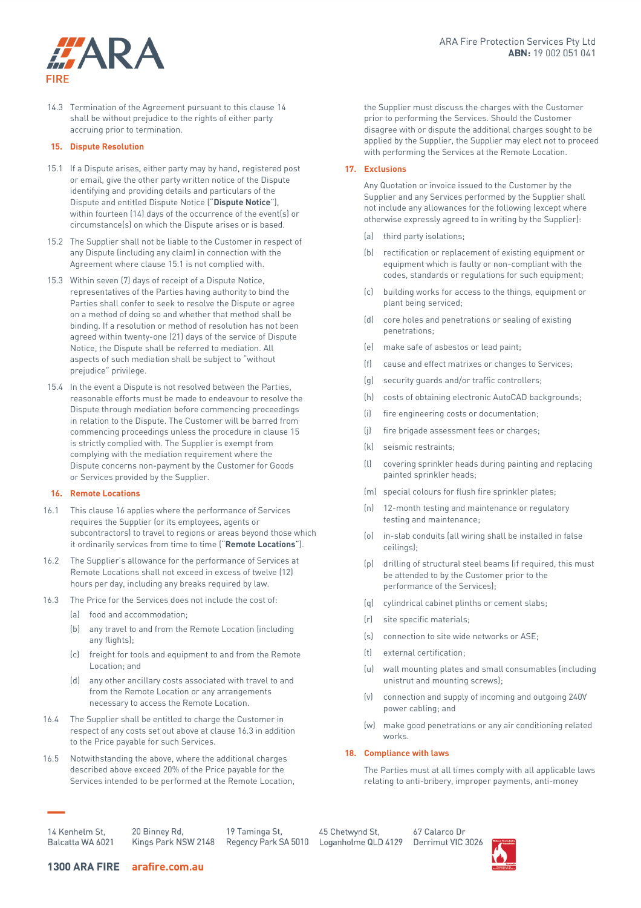

14.3 Termination of the Agreement pursuant to this clause 14 shall be without prejudice to the rights of either party accruing prior to termination.

#### **15. Dispute Resolution**

- 15.1 If a Dispute arises, either party may by hand, registered post or email, give the other party written notice of the Dispute identifying and providing details and particulars of the Dispute and entitled Dispute Notice ("**Dispute Notice**"), within fourteen (14) days of the occurrence of the event(s) or circumstance(s) on which the Dispute arises or is based.
- 15.2 The Supplier shall not be liable to the Customer in respect of any Dispute (including any claim) in connection with the Agreement where clause 15.1 is not complied with.
- 15.3 Within seven (7) days of receipt of a Dispute Notice, representatives of the Parties having authority to bind the Parties shall confer to seek to resolve the Dispute or agree on a method of doing so and whether that method shall be binding. If a resolution or method of resolution has not been agreed within twenty-one (21) days of the service of Dispute Notice, the Dispute shall be referred to mediation. All aspects of such mediation shall be subject to "without prejudice" privilege.
- 15.4 In the event a Dispute is not resolved between the Parties, reasonable efforts must be made to endeavour to resolve the Dispute through mediation before commencing proceedings in relation to the Dispute. The Customer will be barred from commencing proceedings unless the procedure in clause 15 is strictly complied with. The Supplier is exempt from complying with the mediation requirement where the Dispute concerns non-payment by the Customer for Goods or Services provided by the Supplier.

## <span id="page-6-0"></span>**16. Remote Locations**

- 16.1 This claus[e 16](#page-6-0) applies where the performance of Services requires the Supplier (or its employees, agents or subcontractors) to travel to regions or areas beyond those which it ordinarily services from time to time ("**Remote Locations**").
- 16.2 The Supplier's allowance for the performance of Services at Remote Locations shall not exceed in excess of twelve (12) hours per day, including any breaks required by law.
- <span id="page-6-1"></span>16.3 The Price for the Services does not include the cost of:
	- (a) food and accommodation;
	- (b) any travel to and from the Remote Location (including any flights);
	- (c) freight for tools and equipment to and from the Remote Location; and
	- (d) any other ancillary costs associated with travel to and from the Remote Location or any arrangements necessary to access the Remote Location.
- 16.4 The Supplier shall be entitled to charge the Customer in respect of any costs set out above at claus[e 16.3](#page-6-1) in addition to the Price payable for such Services.
- 16.5 Notwithstanding the above, where the additional charges described above exceed 20% of the Price payable for the Services intended to be performed at the Remote Location,

the Supplier must discuss the charges with the Customer prior to performing the Services. Should the Customer disagree with or dispute the additional charges sought to be applied by the Supplier, the Supplier may elect not to proceed with performing the Services at the Remote Location.

#### **17. Exclusions**

Any Quotation or invoice issued to the Customer by the Supplier and any Services performed by the Supplier shall not include any allowances for the following (except where otherwise expressly agreed to in writing by the Supplier):

- (a) third party isolations;
- (b) rectification or replacement of existing equipment or equipment which is faulty or non-compliant with the codes, standards or regulations for such equipment;
- (c) building works for access to the things, equipment or plant being serviced;
- (d) core holes and penetrations or sealing of existing penetrations;
- (e) make safe of asbestos or lead paint;
- (f) cause and effect matrixes or changes to Services;
- (g) security guards and/or traffic controllers;
- (h) costs of obtaining electronic AutoCAD backgrounds;
- (i) fire engineering costs or documentation;
- (j) fire brigade assessment fees or charges;
- (k) seismic restraints;
- (l) covering sprinkler heads during painting and replacing painted sprinkler heads;
- (m) special colours for flush fire sprinkler plates;
- (n) 12-month testing and maintenance or regulatory testing and maintenance;
- (o) in-slab conduits (all wiring shall be installed in false ceilings);
- (p) drilling of structural steel beams (if required, this must be attended to by the Customer prior to the performance of the Services);
- (q) cylindrical cabinet plinths or cement slabs;
- (r) site specific materials;
- (s) connection to site wide networks or ASE;
- (t) external certification;
- (u) wall mounting plates and small consumables (including unistrut and mounting screws);
- (v) connection and supply of incoming and outgoing 240V power cabling; and
- (w) make good penetrations or any air conditioning related works.

#### **18. Compliance with laws**

The Parties must at all times comply with all applicable laws relating to anti-bribery, improper payments, anti-money

14 Kenhelm St. Balcatta WA 6021

20 Binney Rd, Kings Park NSW 2148

19 Taminga St,

45 Chetwynd St, Regency Park SA 5010 Loganholme QLD 4129

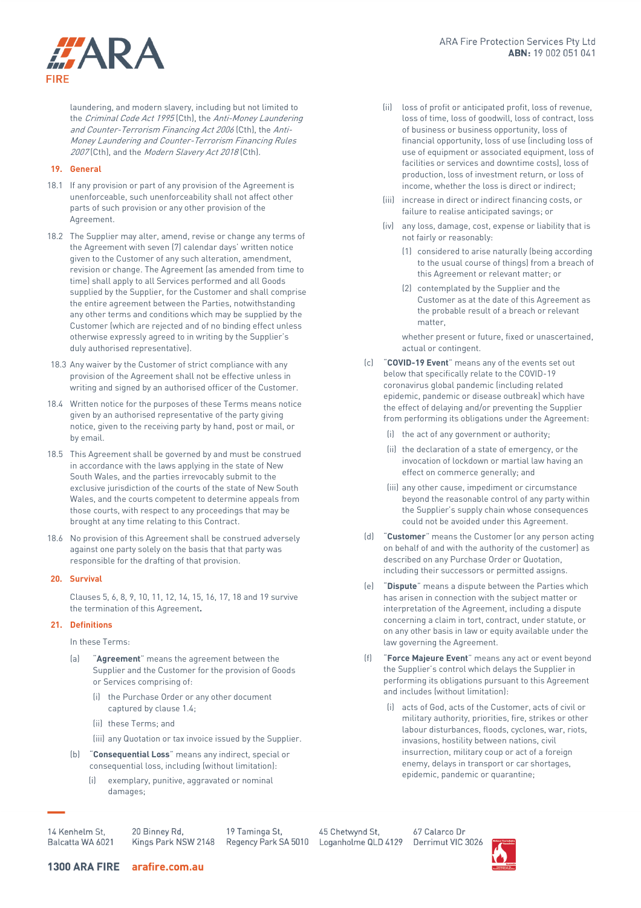

laundering, and modern slavery, including but not limited to the Criminal Code Act 1995 (Cth), the Anti-Money Laundering and Counter-Terrorism Financing Act 2006 (Cth), the Anti-Money Laundering and Counter-Terrorism Financing Rules 2007 (Cth), and the Modern Slavery Act 2018 (Cth).

# **19. General**

- 18.1 If any provision or part of any provision of the Agreement is unenforceable, such unenforceability shall not affect other parts of such provision or any other provision of the Agreement.
- 18.2 The Supplier may alter, amend, revise or change any terms of the Agreement with seven (7) calendar days' written notice given to the Customer of any such alteration, amendment, revision or change. The Agreement (as amended from time to time) shall apply to all Services performed and all Goods supplied by the Supplier, for the Customer and shall comprise the entire agreement between the Parties, notwithstanding any other terms and conditions which may be supplied by the Customer (which are rejected and of no binding effect unless otherwise expressly agreed to in writing by the Supplier's duly authorised representative).
- 18.3 Any waiver by the Customer of strict compliance with any provision of the Agreement shall not be effective unless in writing and signed by an authorised officer of the Customer.
- 18.4 Written notice for the purposes of these Terms means notice given by an authorised representative of the party giving notice, given to the receiving party by hand, post or mail, or by email.
- 18.5 This Agreement shall be governed by and must be construed in accordance with the laws applying in the state of New South Wales, and the parties irrevocably submit to the exclusive jurisdiction of the courts of the state of New South Wales, and the courts competent to determine appeals from those courts, with respect to any proceedings that may be brought at any time relating to this Contract.
- 18.6 No provision of this Agreement shall be construed adversely against one party solely on the basis that that party was responsible for the drafting of that provision.

#### **20. Survival**

Clauses 5, 6, 8, 9, 10, 11, 12, 14, 15, 16, 17, 18 and 19 survive the termination of this Agreement**.** 

#### **21. Definitions**

In these Terms:

- (a) "**Agreement**" means the agreement between the Supplier and the Customer for the provision of Goods or Services comprising of:
	- (i) the Purchase Order or any other document captured by claus[e 1.4;](#page-0-0)
	- (ii) these Terms; and
	- (iii) any Quotation or tax invoice issued by the Supplier.
- (b) "**Consequential Loss**" means any indirect, special or consequential loss, including (without limitation):
	- exemplary, punitive, aggravated or nominal damages;
- (ii) loss of profit or anticipated profit, loss of revenue, loss of time, loss of goodwill, loss of contract, loss of business or business opportunity, loss of financial opportunity, loss of use (including loss of use of equipment or associated equipment, loss of facilities or services and downtime costs), loss of production, loss of investment return, or loss of income, whether the loss is direct or indirect;
- (iii) increase in direct or indirect financing costs, or failure to realise anticipated savings; or
- (iv) any loss, damage, cost, expense or liability that is not fairly or reasonably:
	- (1) considered to arise naturally (being according to the usual course of things) from a breach of this Agreement or relevant matter; or
	- (2) contemplated by the Supplier and the Customer as at the date of this Agreement as the probable result of a breach or relevant matter,

whether present or future, fixed or unascertained, actual or contingent.

- (c) "**COVID-19 Event**" means any of the events set out below that specifically relate to the COVID-19 coronavirus global pandemic (including related epidemic, pandemic or disease outbreak) which have the effect of delaying and/or preventing the Supplier from performing its obligations under the Agreement:
	- (i) the act of any government or authority;
	- (ii) the declaration of a state of emergency, or the invocation of lockdown or martial law having an effect on commerce generally; and
	- (iii) any other cause, impediment or circumstance beyond the reasonable control of any party within the Supplier's supply chain whose consequences could not be avoided under this Agreement.
- (d) "**Customer**" means the Customer (or any person acting on behalf of and with the authority of the customer) as described on any Purchase Order or Quotation, including their successors or permitted assigns.
- (e) "**Dispute**" means a dispute between the Parties which has arisen in connection with the subject matter or interpretation of the Agreement, including a dispute concerning a claim in tort, contract, under statute, or on any other basis in law or equity available under the law governing the Agreement.
- (f) "**Force Majeure Event**" means any act or event beyond the Supplier's control which delays the Supplier in performing its obligations pursuant to this Agreement and includes (without limitation):
	- (i) acts of God, acts of the Customer, acts of civil or military authority, priorities, fire, strikes or other labour disturbances, floods, cyclones, war, riots, invasions, hostility between nations, civil insurrection, military coup or act of a foreign enemy, delays in transport or car shortages, epidemic, pandemic or quarantine;

14 Kenhelm St, Balcatta WA 6021

20 Binney Rd, 19 Taminga St, Kings Park NSW 2148

45 Chetwynd St, Regency Park SA 5010 Loganholme QLD 4129

67 Calarco Dr Derrimut VIC 3026